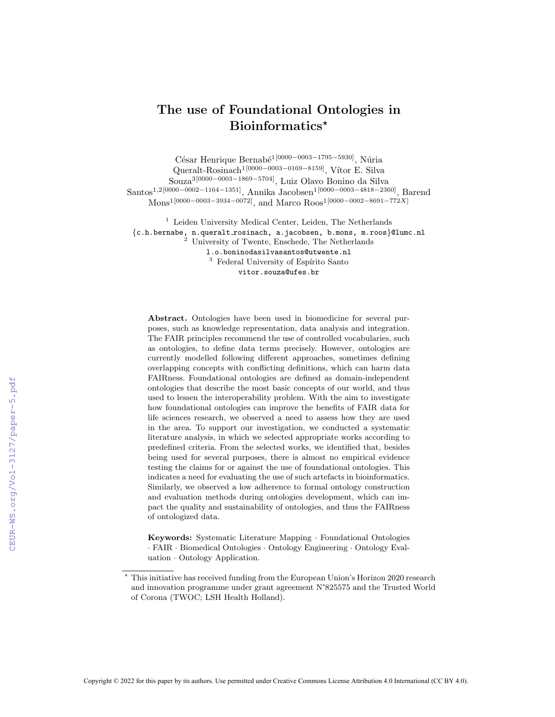# The use of Foundational Ontologies in Bioinformatics<sup>\*</sup>

César Henrique Bernabé<sup>1[0000–0003–1795–5930]</sup>, Núria

Queralt-Rosinach<sup>1[0000–0003–0169–8159]</sup>, Vítor E. Silva Souza3[0000−0003−1869−5704], Luiz Olavo Bonino da Silva Santos1,2[0000−0002−1164−1351], Annika Jacobsen1[0000−0003−4818−2360], Barend

Mons1[0000−0003−3934−0072], and Marco Roos1[0000−0002−8691−772X]

<sup>1</sup> Leiden University Medical Center, Leiden, The Netherlands {c.h.bernabe, n.queralt rosinach, a.jacobsen, b.mons, m.roos}@lumc.nl <sup>2</sup> University of Twente, Enschede, The Netherlands l.o.boninodasilvasantos@utwente.nl  $3$  Federal University of Espírito Santo

vitor.souza@ufes.br

Abstract. Ontologies have been used in biomedicine for several purposes, such as knowledge representation, data analysis and integration. The FAIR principles recommend the use of controlled vocabularies, such as ontologies, to define data terms precisely. However, ontologies are currently modelled following different approaches, sometimes defining overlapping concepts with conflicting definitions, which can harm data FAIRness. Foundational ontologies are defined as domain-independent ontologies that describe the most basic concepts of our world, and thus used to lessen the interoperability problem. With the aim to investigate how foundational ontologies can improve the benefits of FAIR data for life sciences research, we observed a need to assess how they are used in the area. To support our investigation, we conducted a systematic literature analysis, in which we selected appropriate works according to predefined criteria. From the selected works, we identified that, besides being used for several purposes, there is almost no empirical evidence testing the claims for or against the use of foundational ontologies. This indicates a need for evaluating the use of such artefacts in bioinformatics. Similarly, we observed a low adherence to formal ontology construction and evaluation methods during ontologies development, which can impact the quality and sustainability of ontologies, and thus the FAIRness of ontologized data.

Keywords: Systematic Literature Mapping · Foundational Ontologies · FAIR · Biomedical Ontologies · Ontology Engineering · Ontology Evaluation · Ontology Application.

<sup>?</sup> This initiative has received funding from the European Union's Horizon 2020 research and innovation programme under grant agreement N°825575 and the Trusted World of Corona (TWOC; LSH Health Holland).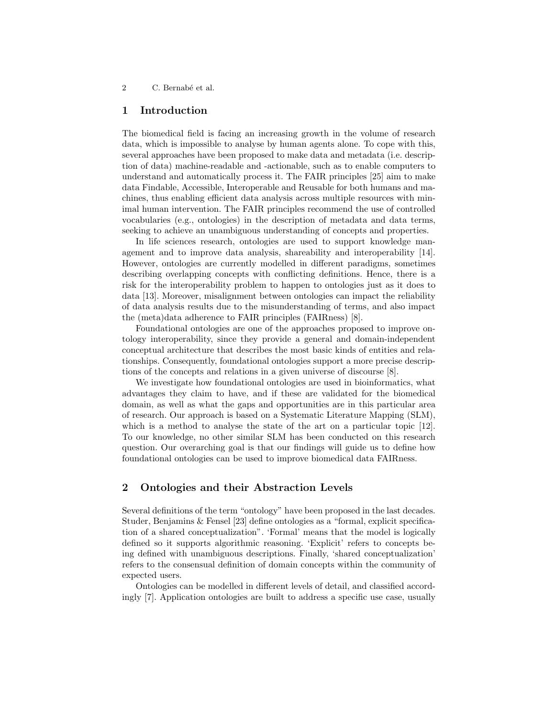## 1 Introduction

The biomedical field is facing an increasing growth in the volume of research data, which is impossible to analyse by human agents alone. To cope with this, several approaches have been proposed to make data and metadata (i.e. description of data) machine-readable and -actionable, such as to enable computers to understand and automatically process it. The FAIR principles [25] aim to make data Findable, Accessible, Interoperable and Reusable for both humans and machines, thus enabling efficient data analysis across multiple resources with minimal human intervention. The FAIR principles recommend the use of controlled vocabularies (e.g., ontologies) in the description of metadata and data terms, seeking to achieve an unambiguous understanding of concepts and properties.

In life sciences research, ontologies are used to support knowledge management and to improve data analysis, shareability and interoperability [14]. However, ontologies are currently modelled in different paradigms, sometimes describing overlapping concepts with conflicting definitions. Hence, there is a risk for the interoperability problem to happen to ontologies just as it does to data [13]. Moreover, misalignment between ontologies can impact the reliability of data analysis results due to the misunderstanding of terms, and also impact the (meta)data adherence to FAIR principles (FAIRness) [8].

Foundational ontologies are one of the approaches proposed to improve ontology interoperability, since they provide a general and domain-independent conceptual architecture that describes the most basic kinds of entities and relationships. Consequently, foundational ontologies support a more precise descriptions of the concepts and relations in a given universe of discourse [8].

We investigate how foundational ontologies are used in bioinformatics, what advantages they claim to have, and if these are validated for the biomedical domain, as well as what the gaps and opportunities are in this particular area of research. Our approach is based on a Systematic Literature Mapping (SLM), which is a method to analyse the state of the art on a particular topic [12]. To our knowledge, no other similar SLM has been conducted on this research question. Our overarching goal is that our findings will guide us to define how foundational ontologies can be used to improve biomedical data FAIRness.

## 2 Ontologies and their Abstraction Levels

Several definitions of the term "ontology" have been proposed in the last decades. Studer, Benjamins & Fensel [23] define ontologies as a "formal, explicit specification of a shared conceptualization". 'Formal' means that the model is logically defined so it supports algorithmic reasoning. 'Explicit' refers to concepts being defined with unambiguous descriptions. Finally, 'shared conceptualization' refers to the consensual definition of domain concepts within the community of expected users.

Ontologies can be modelled in different levels of detail, and classified accordingly [7]. Application ontologies are built to address a specific use case, usually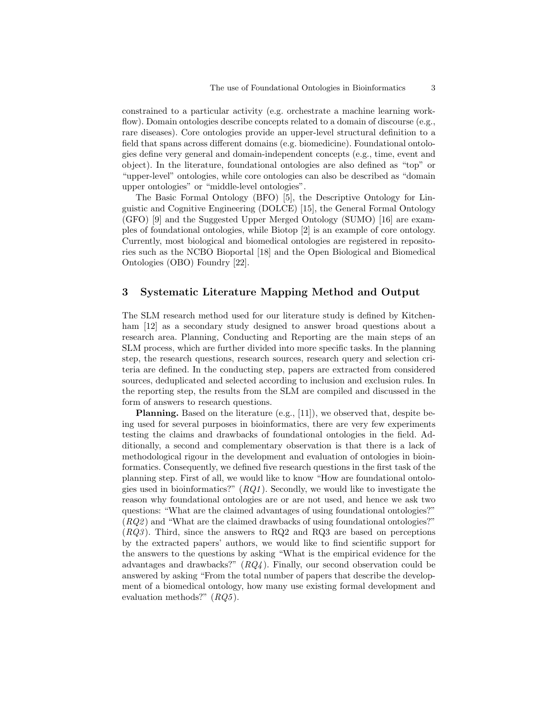constrained to a particular activity (e.g. orchestrate a machine learning workflow). Domain ontologies describe concepts related to a domain of discourse (e.g., rare diseases). Core ontologies provide an upper-level structural definition to a field that spans across different domains (e.g. biomedicine). Foundational ontologies define very general and domain-independent concepts (e.g., time, event and object). In the literature, foundational ontologies are also defined as "top" or "upper-level" ontologies, while core ontologies can also be described as "domain upper ontologies" or "middle-level ontologies".

The Basic Formal Ontology (BFO) [5], the Descriptive Ontology for Linguistic and Cognitive Engineering (DOLCE) [15], the General Formal Ontology (GFO) [9] and the Suggested Upper Merged Ontology (SUMO) [16] are examples of foundational ontologies, while Biotop [2] is an example of core ontology. Currently, most biological and biomedical ontologies are registered in repositories such as the NCBO Bioportal [18] and the Open Biological and Biomedical Ontologies (OBO) Foundry [22].

## 3 Systematic Literature Mapping Method and Output

The SLM research method used for our literature study is defined by Kitchenham [12] as a secondary study designed to answer broad questions about a research area. Planning, Conducting and Reporting are the main steps of an SLM process, which are further divided into more specific tasks. In the planning step, the research questions, research sources, research query and selection criteria are defined. In the conducting step, papers are extracted from considered sources, deduplicated and selected according to inclusion and exclusion rules. In the reporting step, the results from the SLM are compiled and discussed in the form of answers to research questions.

Planning. Based on the literature (e.g., [11]), we observed that, despite being used for several purposes in bioinformatics, there are very few experiments testing the claims and drawbacks of foundational ontologies in the field. Additionally, a second and complementary observation is that there is a lack of methodological rigour in the development and evaluation of ontologies in bioinformatics. Consequently, we defined five research questions in the first task of the planning step. First of all, we would like to know "How are foundational ontologies used in bioinformatics?"  $(RQ1)$ . Secondly, we would like to investigate the reason why foundational ontologies are or are not used, and hence we ask two questions: "What are the claimed advantages of using foundational ontologies?"  $(RQ2)$  and "What are the claimed drawbacks of using foundational ontologies?"  $(RQ3)$ . Third, since the answers to RQ2 and RQ3 are based on perceptions by the extracted papers' authors, we would like to find scientific support for the answers to the questions by asking "What is the empirical evidence for the advantages and drawbacks?"  $(RQ4)$ . Finally, our second observation could be answered by asking "From the total number of papers that describe the development of a biomedical ontology, how many use existing formal development and evaluation methods?"  $(RQ5)$ .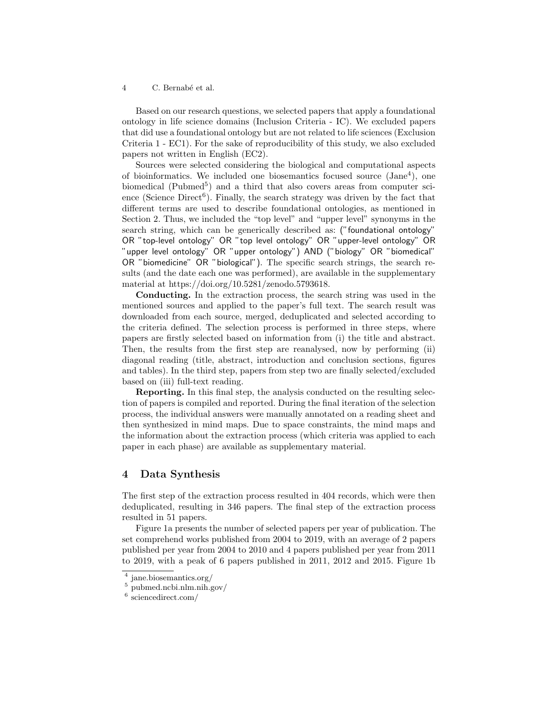Based on our research questions, we selected papers that apply a foundational ontology in life science domains (Inclusion Criteria - IC). We excluded papers that did use a foundational ontology but are not related to life sciences (Exclusion Criteria 1 - EC1). For the sake of reproducibility of this study, we also excluded papers not written in English (EC2).

Sources were selected considering the biological and computational aspects of bioinformatics. We included one biosemantics focused source  $(Jane<sup>4</sup>)$ , one biomedical ( $\text{Pubmed}^5$ ) and a third that also covers areas from computer science (Science Direct<sup>6</sup>). Finally, the search strategy was driven by the fact that different terms are used to describe foundational ontologies, as mentioned in Section 2. Thus, we included the "top level" and "upper level" synonyms in the search string, which can be generically described as: ("foundational ontology" OR "top-level ontology" OR "top level ontology" OR "upper-level ontology" OR "upper level ontology" OR "upper ontology") AND ("biology" OR "biomedical" OR "biomedicine" OR "biological"). The specific search strings, the search results (and the date each one was performed), are available in the supplementary material at https://doi.org/10.5281/zenodo.5793618.

Conducting. In the extraction process, the search string was used in the mentioned sources and applied to the paper's full text. The search result was downloaded from each source, merged, deduplicated and selected according to the criteria defined. The selection process is performed in three steps, where papers are firstly selected based on information from (i) the title and abstract. Then, the results from the first step are reanalysed, now by performing (ii) diagonal reading (title, abstract, introduction and conclusion sections, figures and tables). In the third step, papers from step two are finally selected/excluded based on (iii) full-text reading.

Reporting. In this final step, the analysis conducted on the resulting selection of papers is compiled and reported. During the final iteration of the selection process, the individual answers were manually annotated on a reading sheet and then synthesized in mind maps. Due to space constraints, the mind maps and the information about the extraction process (which criteria was applied to each paper in each phase) are available as supplementary material.

## 4 Data Synthesis

The first step of the extraction process resulted in 404 records, which were then deduplicated, resulting in 346 papers. The final step of the extraction process resulted in 51 papers.

Figure 1a presents the number of selected papers per year of publication. The set comprehend works published from 2004 to 2019, with an average of 2 papers published per year from 2004 to 2010 and 4 papers published per year from 2011 to 2019, with a peak of 6 papers published in 2011, 2012 and 2015. Figure 1b

<sup>4</sup> jane.biosemantics.org/

 $^5$  pubmed.ncbi.nlm.nih.gov/  $\,$ 

<sup>6</sup> sciencedirect.com/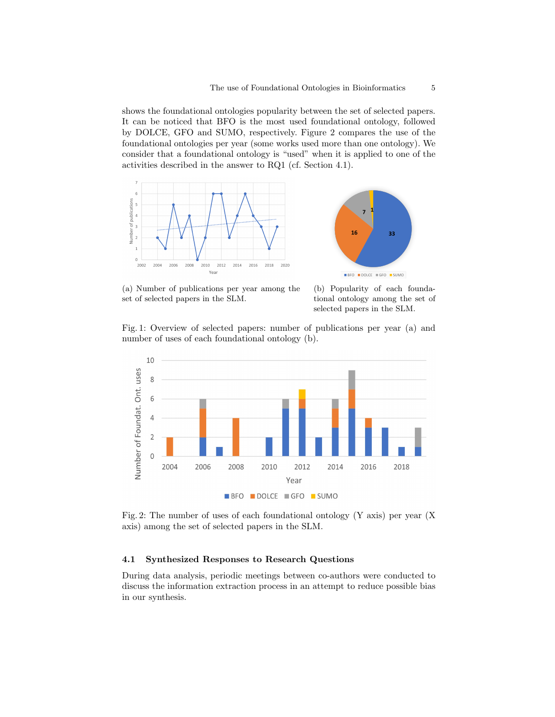shows the foundational ontologies popularity between the set of selected papers. It can be noticed that BFO is the most used foundational ontology, followed by DOLCE, GFO and SUMO, respectively. Figure 2 compares the use of the foundational ontologies per year (some works used more than one ontology). We consider that a foundational ontology is "used" when it is applied to one of the activities described in the answer to RQ1 (cf. Section 4.1).





(a) Number of publications per year among the set of selected papers in the SLM.

(b) Popularity of each foundational ontology among the set of selected papers in the SLM.

Fig. 1: Overview of selected papers: number of publications per year (a) and number of uses of each foundational ontology (b).



Fig. 2: The number of uses of each foundational ontology (Y axis) per year (X axis) among the set of selected papers in the SLM.

### 4.1 Synthesized Responses to Research Questions

During data analysis, periodic meetings between co-authors were conducted to discuss the information extraction process in an attempt to reduce possible bias in our synthesis.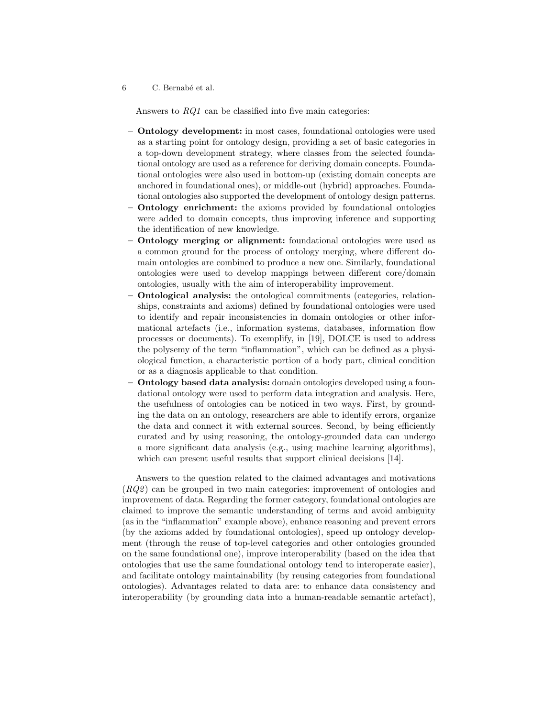Answers to RQ1 can be classified into five main categories:

- Ontology development: in most cases, foundational ontologies were used as a starting point for ontology design, providing a set of basic categories in a top-down development strategy, where classes from the selected foundational ontology are used as a reference for deriving domain concepts. Foundational ontologies were also used in bottom-up (existing domain concepts are anchored in foundational ones), or middle-out (hybrid) approaches. Foundational ontologies also supported the development of ontology design patterns.
- Ontology enrichment: the axioms provided by foundational ontologies were added to domain concepts, thus improving inference and supporting the identification of new knowledge.
- Ontology merging or alignment: foundational ontologies were used as a common ground for the process of ontology merging, where different domain ontologies are combined to produce a new one. Similarly, foundational ontologies were used to develop mappings between different core/domain ontologies, usually with the aim of interoperability improvement.
- Ontological analysis: the ontological commitments (categories, relationships, constraints and axioms) defined by foundational ontologies were used to identify and repair inconsistencies in domain ontologies or other informational artefacts (i.e., information systems, databases, information flow processes or documents). To exemplify, in [19], DOLCE is used to address the polysemy of the term "inflammation", which can be defined as a physiological function, a characteristic portion of a body part, clinical condition or as a diagnosis applicable to that condition.
- Ontology based data analysis: domain ontologies developed using a foundational ontology were used to perform data integration and analysis. Here, the usefulness of ontologies can be noticed in two ways. First, by grounding the data on an ontology, researchers are able to identify errors, organize the data and connect it with external sources. Second, by being efficiently curated and by using reasoning, the ontology-grounded data can undergo a more significant data analysis (e.g., using machine learning algorithms), which can present useful results that support clinical decisions [14].

Answers to the question related to the claimed advantages and motivations (RQ2 ) can be grouped in two main categories: improvement of ontologies and improvement of data. Regarding the former category, foundational ontologies are claimed to improve the semantic understanding of terms and avoid ambiguity (as in the "inflammation" example above), enhance reasoning and prevent errors (by the axioms added by foundational ontologies), speed up ontology development (through the reuse of top-level categories and other ontologies grounded on the same foundational one), improve interoperability (based on the idea that ontologies that use the same foundational ontology tend to interoperate easier), and facilitate ontology maintainability (by reusing categories from foundational ontologies). Advantages related to data are: to enhance data consistency and interoperability (by grounding data into a human-readable semantic artefact),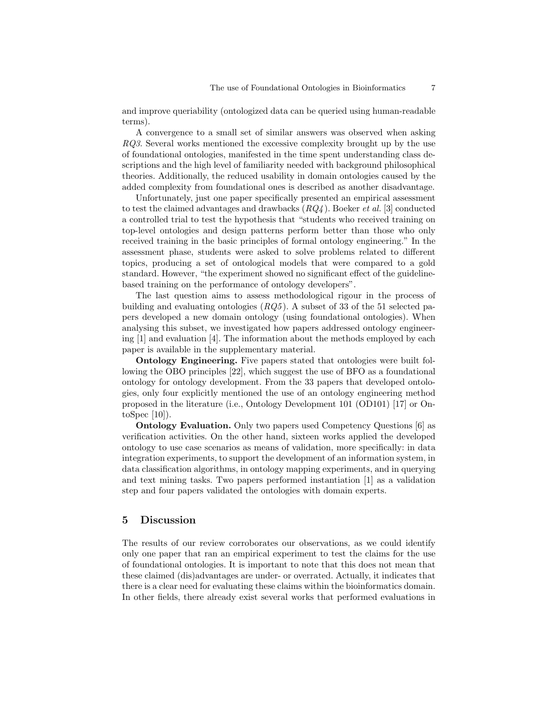and improve queriability (ontologized data can be queried using human-readable terms).

A convergence to a small set of similar answers was observed when asking RQ3. Several works mentioned the excessive complexity brought up by the use of foundational ontologies, manifested in the time spent understanding class descriptions and the high level of familiarity needed with background philosophical theories. Additionally, the reduced usability in domain ontologies caused by the added complexity from foundational ones is described as another disadvantage.

Unfortunately, just one paper specifically presented an empirical assessment to test the claimed advantages and drawbacks  $(RQ4)$ . Boeker *et al.* [3] conducted a controlled trial to test the hypothesis that "students who received training on top-level ontologies and design patterns perform better than those who only received training in the basic principles of formal ontology engineering." In the assessment phase, students were asked to solve problems related to different topics, producing a set of ontological models that were compared to a gold standard. However, "the experiment showed no significant effect of the guidelinebased training on the performance of ontology developers".

The last question aims to assess methodological rigour in the process of building and evaluating ontologies  $(RQ5)$ . A subset of 33 of the 51 selected papers developed a new domain ontology (using foundational ontologies). When analysing this subset, we investigated how papers addressed ontology engineering [1] and evaluation [4]. The information about the methods employed by each paper is available in the supplementary material.

Ontology Engineering. Five papers stated that ontologies were built following the OBO principles [22], which suggest the use of BFO as a foundational ontology for ontology development. From the 33 papers that developed ontologies, only four explicitly mentioned the use of an ontology engineering method proposed in the literature (i.e., Ontology Development 101 (OD101) [17] or OntoSpec [10]).

Ontology Evaluation. Only two papers used Competency Questions [6] as verification activities. On the other hand, sixteen works applied the developed ontology to use case scenarios as means of validation, more specifically: in data integration experiments, to support the development of an information system, in data classification algorithms, in ontology mapping experiments, and in querying and text mining tasks. Two papers performed instantiation [1] as a validation step and four papers validated the ontologies with domain experts.

## 5 Discussion

The results of our review corroborates our observations, as we could identify only one paper that ran an empirical experiment to test the claims for the use of foundational ontologies. It is important to note that this does not mean that these claimed (dis)advantages are under- or overrated. Actually, it indicates that there is a clear need for evaluating these claims within the bioinformatics domain. In other fields, there already exist several works that performed evaluations in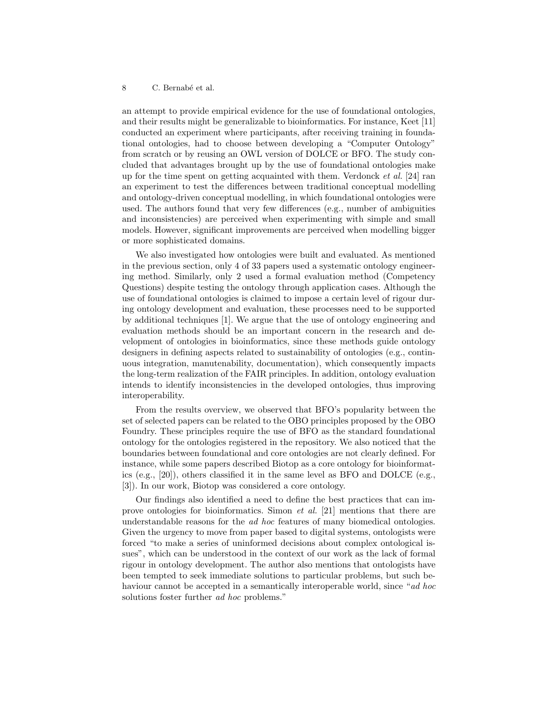an attempt to provide empirical evidence for the use of foundational ontologies, and their results might be generalizable to bioinformatics. For instance, Keet [11] conducted an experiment where participants, after receiving training in foundational ontologies, had to choose between developing a "Computer Ontology" from scratch or by reusing an OWL version of DOLCE or BFO. The study concluded that advantages brought up by the use of foundational ontologies make up for the time spent on getting acquainted with them. Verdonck et al. [24] ran an experiment to test the differences between traditional conceptual modelling and ontology-driven conceptual modelling, in which foundational ontologies were used. The authors found that very few differences (e.g., number of ambiguities and inconsistencies) are perceived when experimenting with simple and small models. However, significant improvements are perceived when modelling bigger or more sophisticated domains.

We also investigated how ontologies were built and evaluated. As mentioned in the previous section, only 4 of 33 papers used a systematic ontology engineering method. Similarly, only 2 used a formal evaluation method (Competency Questions) despite testing the ontology through application cases. Although the use of foundational ontologies is claimed to impose a certain level of rigour during ontology development and evaluation, these processes need to be supported by additional techniques [1]. We argue that the use of ontology engineering and evaluation methods should be an important concern in the research and development of ontologies in bioinformatics, since these methods guide ontology designers in defining aspects related to sustainability of ontologies (e.g., continuous integration, manutenability, documentation), which consequently impacts the long-term realization of the FAIR principles. In addition, ontology evaluation intends to identify inconsistencies in the developed ontologies, thus improving interoperability.

From the results overview, we observed that BFO's popularity between the set of selected papers can be related to the OBO principles proposed by the OBO Foundry. These principles require the use of BFO as the standard foundational ontology for the ontologies registered in the repository. We also noticed that the boundaries between foundational and core ontologies are not clearly defined. For instance, while some papers described Biotop as a core ontology for bioinformatics (e.g., [20]), others classified it in the same level as BFO and DOLCE (e.g., [3]). In our work, Biotop was considered a core ontology.

Our findings also identified a need to define the best practices that can improve ontologies for bioinformatics. Simon et al. [21] mentions that there are understandable reasons for the ad hoc features of many biomedical ontologies. Given the urgency to move from paper based to digital systems, ontologists were forced "to make a series of uninformed decisions about complex ontological issues", which can be understood in the context of our work as the lack of formal rigour in ontology development. The author also mentions that ontologists have been tempted to seek immediate solutions to particular problems, but such behaviour cannot be accepted in a semantically interoperable world, since "ad hoc solutions foster further *ad hoc* problems."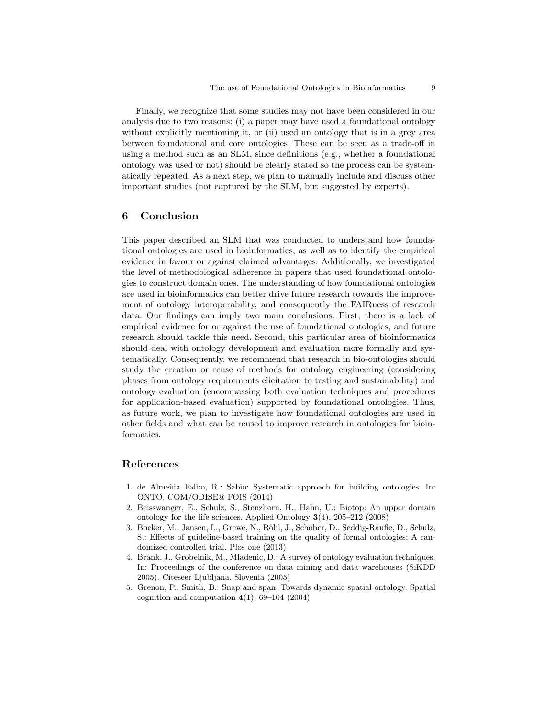Finally, we recognize that some studies may not have been considered in our analysis due to two reasons: (i) a paper may have used a foundational ontology without explicitly mentioning it, or (ii) used an ontology that is in a grey area between foundational and core ontologies. These can be seen as a trade-off in using a method such as an SLM, since definitions (e.g., whether a foundational ontology was used or not) should be clearly stated so the process can be systematically repeated. As a next step, we plan to manually include and discuss other important studies (not captured by the SLM, but suggested by experts).

## 6 Conclusion

This paper described an SLM that was conducted to understand how foundational ontologies are used in bioinformatics, as well as to identify the empirical evidence in favour or against claimed advantages. Additionally, we investigated the level of methodological adherence in papers that used foundational ontologies to construct domain ones. The understanding of how foundational ontologies are used in bioinformatics can better drive future research towards the improvement of ontology interoperability, and consequently the FAIRness of research data. Our findings can imply two main conclusions. First, there is a lack of empirical evidence for or against the use of foundational ontologies, and future research should tackle this need. Second, this particular area of bioinformatics should deal with ontology development and evaluation more formally and systematically. Consequently, we recommend that research in bio-ontologies should study the creation or reuse of methods for ontology engineering (considering phases from ontology requirements elicitation to testing and sustainability) and ontology evaluation (encompassing both evaluation techniques and procedures for application-based evaluation) supported by foundational ontologies. Thus, as future work, we plan to investigate how foundational ontologies are used in other fields and what can be reused to improve research in ontologies for bioinformatics.

## References

- 1. de Almeida Falbo, R.: Sabio: Systematic approach for building ontologies. In: ONTO. COM/ODISE@ FOIS (2014)
- 2. Beisswanger, E., Schulz, S., Stenzhorn, H., Hahn, U.: Biotop: An upper domain ontology for the life sciences. Applied Ontology 3(4), 205–212 (2008)
- 3. Boeker, M., Jansen, L., Grewe, N., Röhl, J., Schober, D., Seddig-Raufie, D., Schulz, S.: Effects of guideline-based training on the quality of formal ontologies: A randomized controlled trial. Plos one (2013)
- 4. Brank, J., Grobelnik, M., Mladenic, D.: A survey of ontology evaluation techniques. In: Proceedings of the conference on data mining and data warehouses (SiKDD 2005). Citeseer Ljubljana, Slovenia (2005)
- 5. Grenon, P., Smith, B.: Snap and span: Towards dynamic spatial ontology. Spatial cognition and computation  $4(1)$ , 69–104 (2004)